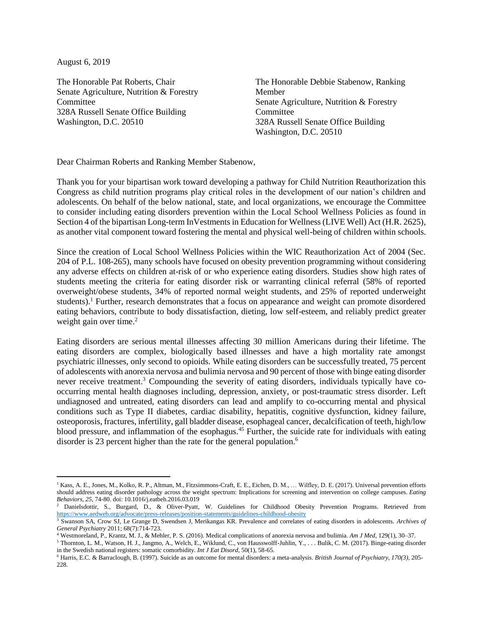August 6, 2019

The Honorable Pat Roberts, Chair Senate Agriculture, Nutrition & Forestry **Committee** 328A Russell Senate Office Building Washington, D.C. 20510

The Honorable Debbie Stabenow, Ranking Member Senate Agriculture, Nutrition & Forestry Committee 328A Russell Senate Office Building Washington, D.C. 20510

Dear Chairman Roberts and Ranking Member Stabenow,

Thank you for your bipartisan work toward developing a pathway for Child Nutrition Reauthorization this Congress as child nutrition programs play critical roles in the development of our nation's children and adolescents. On behalf of the below national, state, and local organizations, we encourage the Committee to consider including eating disorders prevention within the Local School Wellness Policies as found in Section 4 of the bipartisan Long-term InVestments in Education for Wellness (LIVE Well) Act (H.R. 2625), as another vital component toward fostering the mental and physical well-being of children within schools.

Since the creation of Local School Wellness Policies within the WIC Reauthorization Act of 2004 (Sec. 204 of P.L. 108-265), many schools have focused on obesity prevention programming without considering any adverse effects on children at-risk of or who experience eating disorders. Studies show high rates of students meeting the criteria for eating disorder risk or warranting clinical referral (58% of reported overweight/obese students, 34% of reported normal weight students, and 25% of reported underweight students).<sup>1</sup> Further, research demonstrates that a focus on appearance and weight can promote disordered eating behaviors, contribute to body dissatisfaction, dieting, low self-esteem, and reliably predict greater weight gain over time.<sup>2</sup>

Eating disorders are serious mental illnesses affecting 30 million Americans during their lifetime. The eating disorders are complex, biologically based illnesses and have a high mortality rate amongst psychiatric illnesses, only second to opioids. While eating disorders can be successfully treated, 75 percent of adolescents with anorexia nervosa and bulimia nervosa and 90 percent of those with binge eating disorder never receive treatment.<sup>3</sup> Compounding the severity of eating disorders, individuals typically have cooccurring mental health diagnoses including, depression, anxiety, or post-traumatic stress disorder. Left undiagnosed and untreated, eating disorders can lead and amplify to co-occurring mental and physical conditions such as Type II diabetes, cardiac disability, hepatitis, cognitive dysfunction, kidney failure, osteoporosis, fractures, infertility, gall bladder disease, esophageal cancer, decalcification of teeth, high/low blood pressure, and inflammation of the esophagus.<sup>45</sup> Further, the suicide rate for individuals with eating disorder is 23 percent higher than the rate for the general population.<sup>6</sup>

<sup>5</sup> Thornton, L. M., Watson, H. J., Jangmo, A., Welch, E., Wiklund, C., von Hausswolff-Juhlin, Y., . . . Bulik, C. M. (2017). Binge-eating disorder in the Swedish national registers: somatic comorbidity. *Int J Eat Disord*, 50(1), 58-65.

<sup>&</sup>lt;sup>1</sup> Kass, A. E., Jones, M., Kolko, R. P., Altman, M., Fitzsimmons-Craft, E. E., Eichen, D. M., ... Wilfley, D. E. (2017). Universal prevention efforts should address eating disorder pathology across the weight spectrum: Implications for screening and intervention on college campuses. *Eating Behaviors*, *25*, 74-80. doi: 10.1016/j.eatbeh.2016.03.019

<sup>&</sup>lt;sup>2</sup> Danielsdottir, S., Burgard, D., & Oliver-Pyatt, W. Guidelines for Childhood Obesity Prevention Programs. Retrieved from <https://www.aedweb.org/advocate/press-releases/position-statements/guidelines-childhood-obesity>

<sup>3</sup> Swanson SA, Crow SJ, Le Grange D, Swendsen J, Merikangas KR. Prevalence and correlates of eating disorders in adolescents. *Archives of General Psychiatry* 2011; 68(7):714-723.

<sup>4</sup> Westmoreland, P., Krantz, M. J., & Mehler, P. S. (2016). Medical complications of anorexia nervosa and bulimia. *Am J Med*, 129(1), 30–37.

<sup>6</sup> Harris, E.C. & Barraclough, B. (1997). Suicide as an outcome for mental disorders: a meta-analysis. *British Journal of Psychiatry, 170(3),* 205- 228.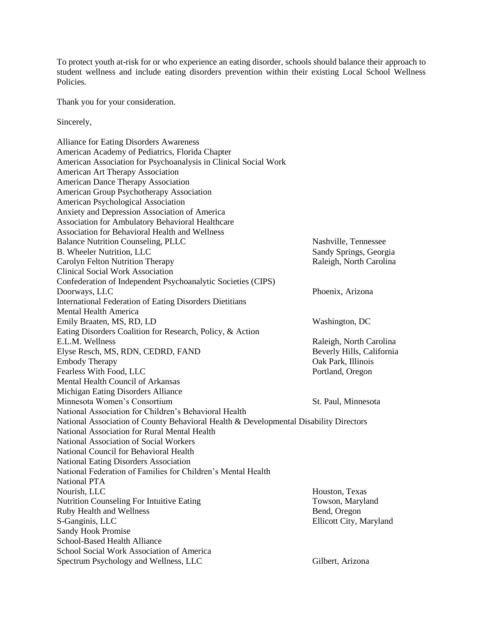To protect youth at-risk for or who experience an eating disorder, schools should balance their approach to student wellness and include eating disorders prevention within their existing Local School Wellness **Policies** 

Thank you for your consideration.

Sincerely,

Alliance for Eating Disorders Awareness American Academy of Pediatrics, Florida Chapter American Association for Psychoanalysis in Clinical Social Work American Art Therapy Association American Dance Therapy Association American Group Psychotherapy Association American Psychological Association Anxiety and Depression Association of America Association for Ambulatory Behavioral Healthcare Association for Behavioral Health and Wellness Balance Nutrition Counseling, PLLC Nashville, Tennessee B. Wheeler Nutrition, LLC Sandy Springs, Georgia Carolyn Felton Nutrition Therapy Raleigh, North Carolina Clinical Social Work Association Confederation of Independent Psychoanalytic Societies (CIPS) Doorways, LLC Phoenix, Arizona International Federation of Eating Disorders Dietitians Mental Health America Emily Braaten, MS, RD, LD Washington, DC Eating Disorders Coalition for Research, Policy, & Action E.L.M. Wellness **Raleigh, North Carolina** Elyse Resch, MS, RDN, CEDRD, FAND Beverly Hills, California Embody Therapy Oak Park, Illinois Fearless With Food, LLC Portland, Oregon Mental Health Council of Arkansas Michigan Eating Disorders Alliance Minnesota Women's Consortium St. Paul, Minnesota National Association for Children's Behavioral Health National Association of County Behavioral Health & Developmental Disability Directors National Association for Rural Mental Health National Association of Social Workers National Council for Behavioral Health National Eating Disorders Association National Federation of Families for Children's Mental Health National PTA Nourish, LLC **Houston, Texas** Nutrition Counseling For Intuitive Eating Towson, Maryland Towson, Maryland Ruby Health and Wellness Bend, Oregon S-Ganginis, LLC Ellicott City, Maryland Sandy Hook Promise School-Based Health Alliance School Social Work Association of America Spectrum Psychology and Wellness, LLC Gilbert, Arizona